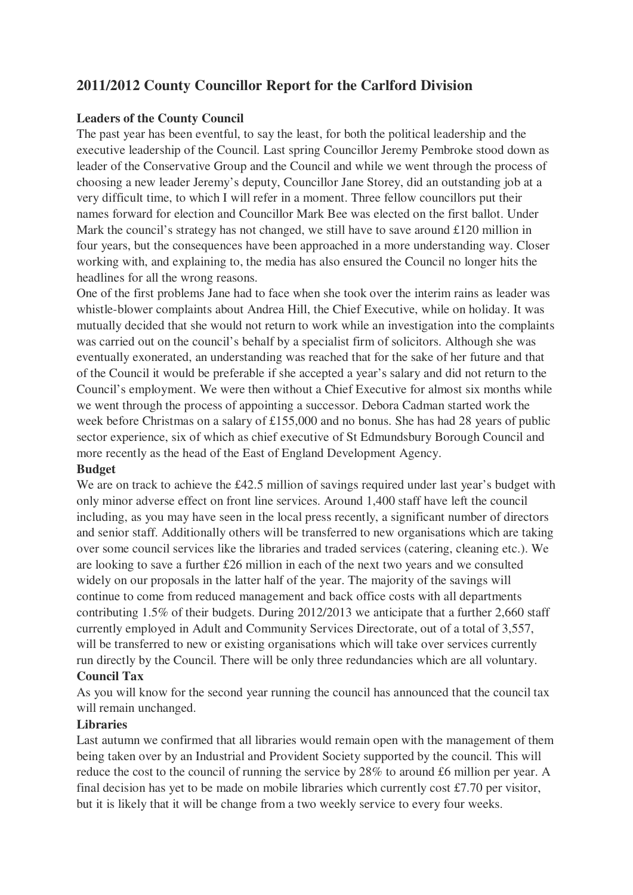# **2011/2012 County Councillor Report for the Carlford Division**

#### **Leaders of the County Council**

The past year has been eventful, to say the least, for both the political leadership and the executive leadership of the Council. Last spring Councillor Jeremy Pembroke stood down as leader of the Conservative Group and the Council and while we went through the process of choosing a new leader Jeremy's deputy, Councillor Jane Storey, did an outstanding job at a very difficult time, to which I will refer in a moment. Three fellow councillors put their names forward for election and Councillor Mark Bee was elected on the first ballot. Under Mark the council's strategy has not changed, we still have to save around £120 million in four years, but the consequences have been approached in a more understanding way. Closer working with, and explaining to, the media has also ensured the Council no longer hits the headlines for all the wrong reasons.

One of the first problems Jane had to face when she took over the interim rains as leader was whistle-blower complaints about Andrea Hill, the Chief Executive, while on holiday. It was mutually decided that she would not return to work while an investigation into the complaints was carried out on the council's behalf by a specialist firm of solicitors. Although she was eventually exonerated, an understanding was reached that for the sake of her future and that of the Council it would be preferable if she accepted a year's salary and did not return to the Council's employment. We were then without a Chief Executive for almost six months while we went through the process of appointing a successor. Debora Cadman started work the week before Christmas on a salary of £155,000 and no bonus. She has had 28 years of public sector experience, six of which as chief executive of St Edmundsbury Borough Council and more recently as the head of the East of England Development Agency.

#### **Budget**

We are on track to achieve the £42.5 million of savings required under last year's budget with only minor adverse effect on front line services. Around 1,400 staff have left the council including, as you may have seen in the local press recently, a significant number of directors and senior staff. Additionally others will be transferred to new organisations which are taking over some council services like the libraries and traded services (catering, cleaning etc.). We are looking to save a further £26 million in each of the next two years and we consulted widely on our proposals in the latter half of the year. The majority of the savings will continue to come from reduced management and back office costs with all departments contributing 1.5% of their budgets. During 2012/2013 we anticipate that a further 2,660 staff currently employed in Adult and Community Services Directorate, out of a total of 3,557, will be transferred to new or existing organisations which will take over services currently run directly by the Council. There will be only three redundancies which are all voluntary. **Council Tax**

As you will know for the second year running the council has announced that the council tax will remain unchanged.

# **Libraries**

Last autumn we confirmed that all libraries would remain open with the management of them being taken over by an Industrial and Provident Society supported by the council. This will reduce the cost to the council of running the service by 28% to around £6 million per year. A final decision has yet to be made on mobile libraries which currently cost £7.70 per visitor, but it is likely that it will be change from a two weekly service to every four weeks.